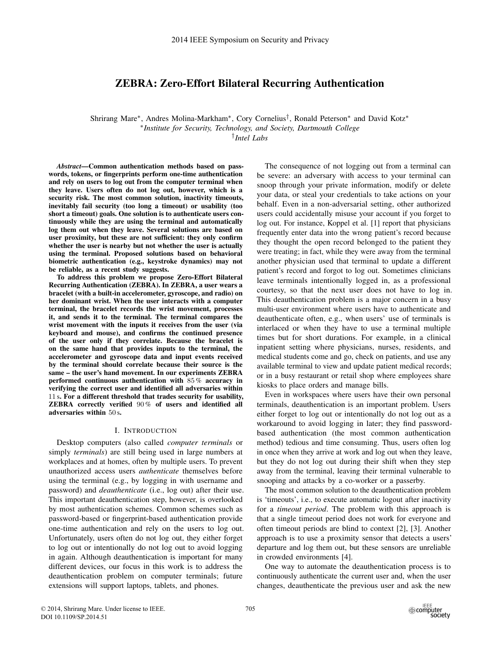# ZEBRA: Zero-Effort Bilateral Recurring Authentication

Shrirang Mare∗, Andres Molina-Markham∗, Cory Cornelius†, Ronald Peterson∗ and David Kotz∗ ∗*Institute for Security, Technology, and Society, Dartmouth College*

†*Intel Labs*

*Abstract*—Common authentication methods based on passwords, tokens, or fingerprints perform one-time authentication and rely on users to log out from the computer terminal when they leave. Users often do not log out, however, which is a security risk. The most common solution, inactivity timeouts, inevitably fail security (too long a timeout) or usability (too short a timeout) goals. One solution is to authenticate users continuously while they are using the terminal and automatically log them out when they leave. Several solutions are based on user proximity, but these are not sufficient: they only confirm whether the user is nearby but not whether the user is actually using the terminal. Proposed solutions based on behavioral biometric authentication (e.g., keystroke dynamics) may not be reliable, as a recent study suggests.

To address this problem we propose Zero-Effort Bilateral Recurring Authentication (ZEBRA). In ZEBRA, a user wears a bracelet (with a built-in accelerometer, gyroscope, and radio) on her dominant wrist. When the user interacts with a computer terminal, the bracelet records the wrist movement, processes it, and sends it to the terminal. The terminal compares the wrist movement with the inputs it receives from the user (via keyboard and mouse), and confirms the continued presence of the user only if they correlate. Because the bracelet is on the same hand that provides inputs to the terminal, the accelerometer and gyroscope data and input events received by the terminal should correlate because their source is the same – the user's hand movement. In our experiments ZEBRA performed continuous authentication with 85 % accuracy in verifying the correct user and identified all adversaries within 11 s. For a different threshold that trades security for usability, ZEBRA correctly verified 90 % of users and identified all adversaries within 50 s.

### I. INTRODUCTION

Desktop computers (also called *computer terminals* or simply *terminals*) are still being used in large numbers at workplaces and at homes, often by multiple users. To prevent unauthorized access users *authenticate* themselves before using the terminal (e.g., by logging in with username and password) and *deauthenticate* (i.e., log out) after their use. This important deauthentication step, however, is overlooked by most authentication schemes. Common schemes such as password-based or fingerprint-based authentication provide one-time authentication and rely on the users to log out. Unfortunately, users often do not log out, they either forget to log out or intentionally do not log out to avoid logging in again. Although deauthentication is important for many different devices, our focus in this work is to address the deauthentication problem on computer terminals; future extensions will support laptops, tablets, and phones.

The consequence of not logging out from a terminal can be severe: an adversary with access to your terminal can snoop through your private information, modify or delete your data, or steal your credentials to take actions on your behalf. Even in a non-adversarial setting, other authorized users could accidentally misuse your account if you forget to log out. For instance, Koppel et al. [1] report that physicians frequently enter data into the wrong patient's record because they thought the open record belonged to the patient they were treating; in fact, while they were away from the terminal another physician used that terminal to update a different patient's record and forgot to log out. Sometimes clinicians leave terminals intentionally logged in, as a professional courtesy, so that the next user does not have to log in. This deauthentication problem is a major concern in a busy multi-user environment where users have to authenticate and deauthenticate often, e.g., when users' use of terminals is interlaced or when they have to use a terminal multiple times but for short durations. For example, in a clinical inpatient setting where physicians, nurses, residents, and medical students come and go, check on patients, and use any available terminal to view and update patient medical records; or in a busy restaurant or retail shop where employees share kiosks to place orders and manage bills.

Even in workspaces where users have their own personal terminals, deauthentication is an important problem. Users either forget to log out or intentionally do not log out as a workaround to avoid logging in later; they find passwordbased authentication (the most common authentication method) tedious and time consuming. Thus, users often log in once when they arrive at work and log out when they leave, but they do not log out during their shift when they step away from the terminal, leaving their terminal vulnerable to snooping and attacks by a co-worker or a passerby.

The most common solution to the deauthentication problem is 'timeouts', i.e., to execute automatic logout after inactivity for a *timeout period*. The problem with this approach is that a single timeout period does not work for everyone and often timeout periods are blind to context [2], [3]. Another approach is to use a proximity sensor that detects a users' departure and log them out, but these sensors are unreliable in crowded environments [4].

One way to automate the deauthentication process is to continuously authenticate the current user and, when the user changes, deauthenticate the previous user and ask the new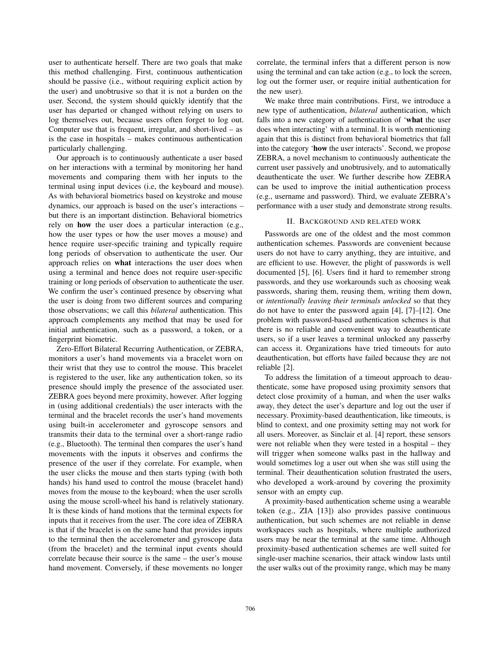user to authenticate herself. There are two goals that make this method challenging. First, continuous authentication should be passive (i.e., without requiring explicit action by the user) and unobtrusive so that it is not a burden on the user. Second, the system should quickly identify that the user has departed or changed without relying on users to log themselves out, because users often forget to log out. Computer use that is frequent, irregular, and short-lived – as is the case in hospitals – makes continuous authentication particularly challenging.

Our approach is to continuously authenticate a user based on her interactions with a terminal by monitoring her hand movements and comparing them with her inputs to the terminal using input devices (i.e, the keyboard and mouse). As with behavioral biometrics based on keystroke and mouse dynamics, our approach is based on the user's interactions – but there is an important distinction. Behavioral biometrics rely on how the user does a particular interaction (e.g., how the user types or how the user moves a mouse) and hence require user-specific training and typically require long periods of observation to authenticate the user. Our approach relies on what interactions the user does when using a terminal and hence does not require user-specific training or long periods of observation to authenticate the user. We confirm the user's continued presence by observing what the user is doing from two different sources and comparing those observations; we call this *bilateral* authentication. This approach complements any method that may be used for initial authentication, such as a password, a token, or a fingerprint biometric.

Zero-Effort Bilateral Recurring Authentication, or ZEBRA, monitors a user's hand movements via a bracelet worn on their wrist that they use to control the mouse. This bracelet is registered to the user, like any authentication token, so its presence should imply the presence of the associated user. ZEBRA goes beyond mere proximity, however. After logging in (using additional credentials) the user interacts with the terminal and the bracelet records the user's hand movements using built-in accelerometer and gyroscope sensors and transmits their data to the terminal over a short-range radio (e.g., Bluetooth). The terminal then compares the user's hand movements with the inputs it observes and confirms the presence of the user if they correlate. For example, when the user clicks the mouse and then starts typing (with both hands) his hand used to control the mouse (bracelet hand) moves from the mouse to the keyboard; when the user scrolls using the mouse scroll-wheel his hand is relatively stationary. It is these kinds of hand motions that the terminal expects for inputs that it receives from the user. The core idea of ZEBRA is that if the bracelet is on the same hand that provides inputs to the terminal then the accelerometer and gyroscope data (from the bracelet) and the terminal input events should correlate because their source is the same – the user's mouse hand movement. Conversely, if these movements no longer

correlate, the terminal infers that a different person is now using the terminal and can take action (e.g., to lock the screen, log out the former user, or require initial authentication for the new user).

We make three main contributions. First, we introduce a new type of authentication, *bilateral* authentication, which falls into a new category of authentication of 'what the user does when interacting' with a terminal. It is worth mentioning again that this is distinct from behavioral biometrics that fall into the category 'how the user interacts'. Second, we propose ZEBRA, a novel mechanism to continuously authenticate the current user passively and unobtrusively, and to automatically deauthenticate the user. We further describe how ZEBRA can be used to improve the initial authentication process (e.g., username and password). Third, we evaluate ZEBRA's performance with a user study and demonstrate strong results.

# II. BACKGROUND AND RELATED WORK

Passwords are one of the oldest and the most common authentication schemes. Passwords are convenient because users do not have to carry anything, they are intuitive, and are efficient to use. However, the plight of passwords is well documented [5], [6]. Users find it hard to remember strong passwords, and they use workarounds such as choosing weak passwords, sharing them, reusing them, writing them down, or *intentionally leaving their terminals unlocked* so that they do not have to enter the password again [4], [7]–[12]. One problem with password-based authentication schemes is that there is no reliable and convenient way to deauthenticate users, so if a user leaves a terminal unlocked any passerby can access it. Organizations have tried timeouts for auto deauthentication, but efforts have failed because they are not reliable [2].

To address the limitation of a timeout approach to deauthenticate, some have proposed using proximity sensors that detect close proximity of a human, and when the user walks away, they detect the user's departure and log out the user if necessary. Proximity-based deauthentication, like timeouts, is blind to context, and one proximity setting may not work for all users. Moreover, as Sinclair et al. [4] report, these sensors were not reliable when they were tested in a hospital – they will trigger when someone walks past in the hallway and would sometimes log a user out when she was still using the terminal. Their deauthentication solution frustrated the users, who developed a work-around by covering the proximity sensor with an empty cup.

A proximity-based authentication scheme using a wearable token (e.g., ZIA [13]) also provides passive continuous authentication, but such schemes are not reliable in dense workspaces such as hospitals, where multiple authorized users may be near the terminal at the same time. Although proximity-based authentication schemes are well suited for single-user machine scenarios, their attack window lasts until the user walks out of the proximity range, which may be many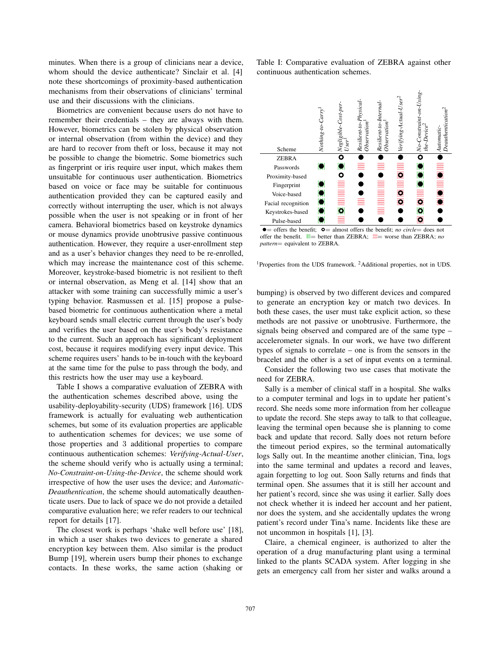minutes. When there is a group of clinicians near a device, whom should the device authenticate? Sinclair et al. [4] note these shortcomings of proximity-based authentication mechanisms from their observations of clinicians' terminal use and their discussions with the clinicians.

Biometrics are convenient because users do not have to remember their credentials – they are always with them. However, biometrics can be stolen by physical observation or internal observation (from within the device) and they are hard to recover from theft or loss, because it may not be possible to change the biometric. Some biometrics such as fingerprint or iris require user input, which makes them unsuitable for continuous user authentication. Biometrics based on voice or face may be suitable for continuous authentication provided they can be captured easily and correctly without interrupting the user, which is not always possible when the user is not speaking or in front of her camera. Behavioral biometrics based on keystroke dynamics or mouse dynamics provide unobtrusive passive continuous authentication. However, they require a user-enrollment step and as a user's behavior changes they need to be re-enrolled, which may increase the maintenance cost of this scheme. Moreover, keystroke-based biometric is not resilient to theft or internal observation, as Meng et al. [14] show that an attacker with some training can successfully mimic a user's typing behavior. Rasmussen et al. [15] propose a pulsebased biometric for continuous authentication where a metal keyboard sends small electric current through the user's body and verifies the user based on the user's body's resistance to the current. Such an approach has significant deployment cost, because it requires modifying every input device. This scheme requires users' hands to be in-touch with the keyboard at the same time for the pulse to pass through the body, and this restricts how the user may use a keyboard.

Table I shows a comparative evaluation of ZEBRA with the authentication schemes described above, using the usability-deployability-security (UDS) framework [16]. UDS framework is actually for evaluating web authentication schemes, but some of its evaluation properties are applicable to authentication schemes for devices; we use some of those properties and 3 additional properties to compare continuous authentication schemes: *Verifying-Actual-User*, the scheme should verify who is actually using a terminal; *No-Constraint-on-Using-the-Device*, the scheme should work irrespective of how the user uses the device; and *Automatic-Deauthentication*, the scheme should automatically deauthenticate users. Due to lack of space we do not provide a detailed comparative evaluation here; we refer readers to our technical report for details [17].

The closest work is perhaps 'shake well before use' [18], in which a user shakes two devices to generate a shared encryption key between them. Also similar is the product Bump [19], wherein users bump their phones to exchange contacts. In these works, the same action (shaking or Table I: Comparative evaluation of ZEBRA against other continuous authentication schemes.



 $\bullet$  = offers the benefit;  $\bullet$  = almost offers the benefit; *no circle* = does not offer the benefit.  $\Box\equiv$  better than ZEBRA;  $\Xi$  worse than ZEBRA; *no pattern*= equivalent to ZEBRA.

<sup>1</sup>Properties from the UDS framework. <sup>2</sup>Additional properties, not in UDS.

bumping) is observed by two different devices and compared to generate an encryption key or match two devices. In both these cases, the user must take explicit action, so these methods are not passive or unobtrusive. Furthermore, the signals being observed and compared are of the same type – accelerometer signals. In our work, we have two different types of signals to correlate – one is from the sensors in the bracelet and the other is a set of input events on a terminal.

Consider the following two use cases that motivate the need for ZEBRA.

Sally is a member of clinical staff in a hospital. She walks to a computer terminal and logs in to update her patient's record. She needs some more information from her colleague to update the record. She steps away to talk to that colleague, leaving the terminal open because she is planning to come back and update that record. Sally does not return before the timeout period expires, so the terminal automatically logs Sally out. In the meantime another clinician, Tina, logs into the same terminal and updates a record and leaves, again forgetting to log out. Soon Sally returns and finds that terminal open. She assumes that it is still her account and her patient's record, since she was using it earlier. Sally does not check whether it is indeed her account and her patient, nor does the system, and she accidentally updates the wrong patient's record under Tina's name. Incidents like these are not uncommon in hospitals [1], [3].

Claire, a chemical engineer, is authorized to alter the operation of a drug manufacturing plant using a terminal linked to the plants SCADA system. After logging in she gets an emergency call from her sister and walks around a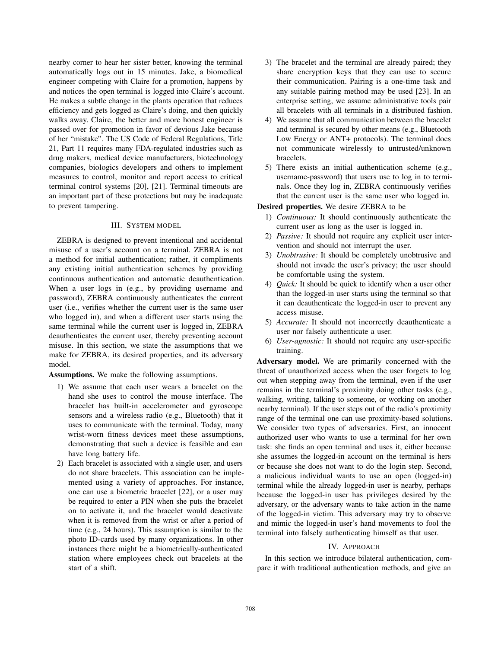nearby corner to hear her sister better, knowing the terminal automatically logs out in 15 minutes. Jake, a biomedical engineer competing with Claire for a promotion, happens by and notices the open terminal is logged into Claire's account. He makes a subtle change in the plants operation that reduces efficiency and gets logged as Claire's doing, and then quickly walks away. Claire, the better and more honest engineer is passed over for promotion in favor of devious Jake because of her "mistake". The US Code of Federal Regulations, Title 21, Part 11 requires many FDA-regulated industries such as drug makers, medical device manufacturers, biotechnology companies, biologics developers and others to implement measures to control, monitor and report access to critical terminal control systems [20], [21]. Terminal timeouts are an important part of these protections but may be inadequate to prevent tampering.

# III. SYSTEM MODEL

ZEBRA is designed to prevent intentional and accidental misuse of a user's account on a terminal. ZEBRA is not a method for initial authentication; rather, it compliments any existing initial authentication schemes by providing continuous authentication and automatic deauthentication. When a user logs in (e.g., by providing username and password), ZEBRA continuously authenticates the current user (i.e., verifies whether the current user is the same user who logged in), and when a different user starts using the same terminal while the current user is logged in, ZEBRA deauthenticates the current user, thereby preventing account misuse. In this section, we state the assumptions that we make for ZEBRA, its desired properties, and its adversary model.

Assumptions. We make the following assumptions.

- 1) We assume that each user wears a bracelet on the hand she uses to control the mouse interface. The bracelet has built-in accelerometer and gyroscope sensors and a wireless radio (e.g., Bluetooth) that it uses to communicate with the terminal. Today, many wrist-worn fitness devices meet these assumptions, demonstrating that such a device is feasible and can have long battery life.
- 2) Each bracelet is associated with a single user, and users do not share bracelets. This association can be implemented using a variety of approaches. For instance, one can use a biometric bracelet [22], or a user may be required to enter a PIN when she puts the bracelet on to activate it, and the bracelet would deactivate when it is removed from the wrist or after a period of time (e.g., 24 hours). This assumption is similar to the photo ID-cards used by many organizations. In other instances there might be a biometrically-authenticated station where employees check out bracelets at the start of a shift.
- 3) The bracelet and the terminal are already paired; they share encryption keys that they can use to secure their communication. Pairing is a one-time task and any suitable pairing method may be used [23]. In an enterprise setting, we assume administrative tools pair all bracelets with all terminals in a distributed fashion.
- 4) We assume that all communication between the bracelet and terminal is secured by other means (e.g., Bluetooth Low Energy or ANT+ protocols). The terminal does not communicate wirelessly to untrusted/unknown bracelets.
- 5) There exists an initial authentication scheme (e.g., username-password) that users use to log in to terminals. Once they log in, ZEBRA continuously verifies that the current user is the same user who logged in.

Desired properties. We desire ZEBRA to be

- 1) *Continuous:* It should continuously authenticate the current user as long as the user is logged in.
- 2) *Passive:* It should not require any explicit user intervention and should not interrupt the user.
- 3) *Unobtrusive:* It should be completely unobtrusive and should not invade the user's privacy; the user should be comfortable using the system.
- 4) *Quick:* It should be quick to identify when a user other than the logged-in user starts using the terminal so that it can deauthenticate the logged-in user to prevent any access misuse.
- 5) *Accurate:* It should not incorrectly deauthenticate a user nor falsely authenticate a user.
- 6) *User-agnostic:* It should not require any user-specific training.

Adversary model. We are primarily concerned with the threat of unauthorized access when the user forgets to log out when stepping away from the terminal, even if the user remains in the terminal's proximity doing other tasks (e.g., walking, writing, talking to someone, or working on another nearby terminal). If the user steps out of the radio's proximity range of the terminal one can use proximity-based solutions. We consider two types of adversaries. First, an innocent authorized user who wants to use a terminal for her own task: she finds an open terminal and uses it, either because she assumes the logged-in account on the terminal is hers or because she does not want to do the login step. Second, a malicious individual wants to use an open (logged-in) terminal while the already logged-in user is nearby, perhaps because the logged-in user has privileges desired by the adversary, or the adversary wants to take action in the name of the logged-in victim. This adversary may try to observe and mimic the logged-in user's hand movements to fool the terminal into falsely authenticating himself as that user.

# IV. APPROACH

In this section we introduce bilateral authentication, compare it with traditional authentication methods, and give an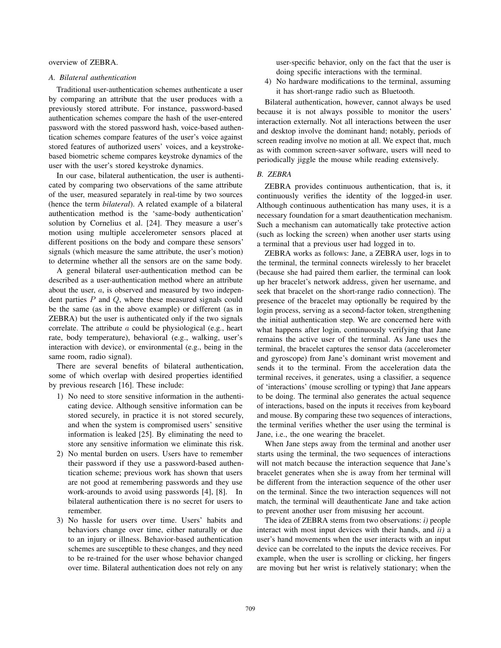overview of ZEBRA.

# *A. Bilateral authentication*

Traditional user-authentication schemes authenticate a user by comparing an attribute that the user produces with a previously stored attribute. For instance, password-based authentication schemes compare the hash of the user-entered password with the stored password hash, voice-based authentication schemes compare features of the user's voice against stored features of authorized users' voices, and a keystrokebased biometric scheme compares keystroke dynamics of the user with the user's stored keystroke dynamics.

In our case, bilateral authentication, the user is authenticated by comparing two observations of the same attribute of the user, measured separately in real-time by two sources (hence the term *bilateral*). A related example of a bilateral authentication method is the 'same-body authentication' solution by Cornelius et al. [24]. They measure a user's motion using multiple accelerometer sensors placed at different positions on the body and compare these sensors' signals (which measure the same attribute, the user's motion) to determine whether all the sensors are on the same body.

A general bilateral user-authentication method can be described as a user-authentication method where an attribute about the user,  $a$ , is observed and measured by two independent parties  $P$  and  $Q$ , where these measured signals could be the same (as in the above example) or different (as in ZEBRA) but the user is authenticated only if the two signals correlate. The attribute a could be physiological (e.g., heart rate, body temperature), behavioral (e.g., walking, user's interaction with device), or environmental (e.g., being in the same room, radio signal).

There are several benefits of bilateral authentication, some of which overlap with desired properties identified by previous research [16]. These include:

- 1) No need to store sensitive information in the authenticating device. Although sensitive information can be stored securely, in practice it is not stored securely, and when the system is compromised users' sensitive information is leaked [25]. By eliminating the need to store any sensitive information we eliminate this risk.
- 2) No mental burden on users. Users have to remember their password if they use a password-based authentication scheme; previous work has shown that users are not good at remembering passwords and they use work-arounds to avoid using passwords [4], [8]. In bilateral authentication there is no secret for users to remember.
- 3) No hassle for users over time. Users' habits and behaviors change over time, either naturally or due to an injury or illness. Behavior-based authentication schemes are susceptible to these changes, and they need to be re-trained for the user whose behavior changed over time. Bilateral authentication does not rely on any

user-specific behavior, only on the fact that the user is doing specific interactions with the terminal.

4) No hardware modifications to the terminal, assuming it has short-range radio such as Bluetooth.

Bilateral authentication, however, cannot always be used because it is not always possible to monitor the users' interaction externally. Not all interactions between the user and desktop involve the dominant hand; notably, periods of screen reading involve no motion at all. We expect that, much as with common screen-saver software, users will need to periodically jiggle the mouse while reading extensively.

# *B. ZEBRA*

ZEBRA provides continuous authentication, that is, it continuously verifies the identity of the logged-in user. Although continuous authentication has many uses, it is a necessary foundation for a smart deauthentication mechanism. Such a mechanism can automatically take protective action (such as locking the screen) when another user starts using a terminal that a previous user had logged in to.

ZEBRA works as follows: Jane, a ZEBRA user, logs in to the terminal, the terminal connects wirelessly to her bracelet (because she had paired them earlier, the terminal can look up her bracelet's network address, given her username, and seek that bracelet on the short-range radio connection). The presence of the bracelet may optionally be required by the login process, serving as a second-factor token, strengthening the initial authentication step. We are concerned here with what happens after login, continuously verifying that Jane remains the active user of the terminal. As Jane uses the terminal, the bracelet captures the sensor data (accelerometer and gyroscope) from Jane's dominant wrist movement and sends it to the terminal. From the acceleration data the terminal receives, it generates, using a classifier, a sequence of 'interactions' (mouse scrolling or typing) that Jane appears to be doing. The terminal also generates the actual sequence of interactions, based on the inputs it receives from keyboard and mouse. By comparing these two sequences of interactions, the terminal verifies whether the user using the terminal is Jane, i.e., the one wearing the bracelet.

When Jane steps away from the terminal and another user starts using the terminal, the two sequences of interactions will not match because the interaction sequence that Jane's bracelet generates when she is away from her terminal will be different from the interaction sequence of the other user on the terminal. Since the two interaction sequences will not match, the terminal will deauthenticate Jane and take action to prevent another user from misusing her account.

The idea of ZEBRA stems from two observations: *i)* people interact with most input devices with their hands, and *ii)* a user's hand movements when the user interacts with an input device can be correlated to the inputs the device receives. For example, when the user is scrolling or clicking, her fingers are moving but her wrist is relatively stationary; when the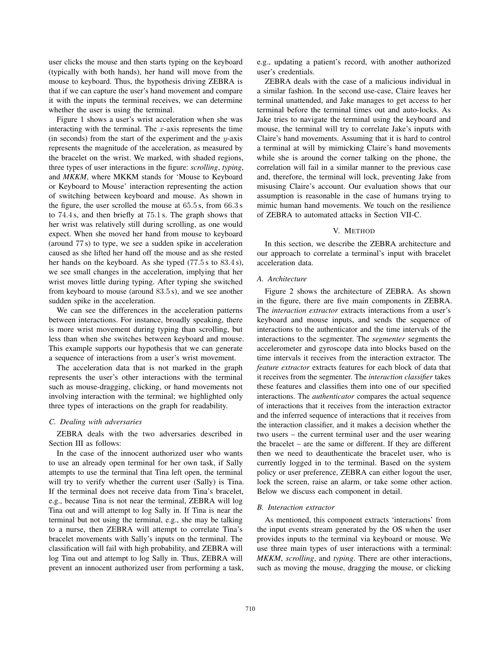user clicks the mouse and then starts typing on the keyboard (typically with both hands), her hand will move from the mouse to keyboard. Thus, the hypothesis driving ZEBRA is that if we can capture the user's hand movement and compare it with the inputs the terminal receives, we can determine whether the user is using the terminal.

Figure 1 shows a user's wrist acceleration when she was interacting with the terminal. The  $x$ -axis represents the time (in seconds) from the start of the experiment and the  $y$ -axis represents the magnitude of the acceleration, as measured by the bracelet on the wrist. We marked, with shaded regions, three types of user interactions in the figure: *scrolling*, *typing*, and *MKKM*, where MKKM stands for 'Mouse to Keyboard or Keyboard to Mouse' interaction representing the action of switching between keyboard and mouse. As shown in the figure, the user scrolled the mouse at <sup>65</sup>.<sup>5</sup> s, from <sup>66</sup>.<sup>3</sup> <sup>s</sup> to <sup>74</sup>.<sup>4</sup> s, and then briefly at <sup>75</sup>.<sup>1</sup> s. The graph shows that her wrist was relatively still during scrolling, as one would expect. When she moved her hand from mouse to keyboard (around 77 s) to type, we see a sudden spike in acceleration caused as she lifted her hand off the mouse and as she rested her hands on the keyboard. As she typed (77.5 s to 83.4 s), we see small changes in the acceleration, implying that her wrist moves little during typing. After typing she switched from keyboard to mouse (around <sup>83</sup>.<sup>5</sup> s), and we see another sudden spike in the acceleration.

We can see the differences in the acceleration patterns between interactions. For instance, broadly speaking, there is more wrist movement during typing than scrolling, but less than when she switches between keyboard and mouse. This example supports our hypothesis that we can generate a sequence of interactions from a user's wrist movement.

The acceleration data that is not marked in the graph represents the user's other interactions with the terminal such as mouse-dragging, clicking, or hand movements not involving interaction with the terminal; we highlighted only three types of interactions on the graph for readability.

# *C. Dealing with adversaries*

ZEBRA deals with the two adversaries described in Section III as follows:

In the case of the innocent authorized user who wants to use an already open terminal for her own task, if Sally attempts to use the terminal that Tina left open, the terminal will try to verify whether the current user (Sally) is Tina. If the terminal does not receive data from Tina's bracelet, e.g., because Tina is not near the terminal, ZEBRA will log Tina out and will attempt to log Sally in. If Tina is near the terminal but not using the terminal, e.g., she may be talking to a nurse, then ZEBRA will attempt to correlate Tina's bracelet movements with Sally's inputs on the terminal. The classification will fail with high probability, and ZEBRA will log Tina out and attempt to log Sally in. Thus, ZEBRA will prevent an innocent authorized user from performing a task, e.g., updating a patient's record, with another authorized user's credentials.

ZEBRA deals with the case of a malicious individual in a similar fashion. In the second use-case, Claire leaves her terminal unattended, and Jake manages to get access to her terminal before the terminal times out and auto-locks. As Jake tries to navigate the terminal using the keyboard and mouse, the terminal will try to correlate Jake's inputs with Claire's hand movements. Assuming that it is hard to control a terminal at will by mimicking Claire's hand movements while she is around the corner talking on the phone, the correlation will fail in a similar manner to the previous case and, therefore, the terminal will lock, preventing Jake from misusing Claire's account. Our evaluation shows that our assumption is reasonable in the case of humans trying to mimic human hand movements. We touch on the resilience of ZEBRA to automated attacks in Section VII-C.

# V. METHOD

In this section, we describe the ZEBRA architecture and our approach to correlate a terminal's input with bracelet acceleration data.

# *A. Architecture*

Figure 2 shows the architecture of ZEBRA. As shown in the figure, there are five main components in ZEBRA. The *interaction extractor* extracts interactions from a user's keyboard and mouse inputs, and sends the sequence of interactions to the authenticator and the time intervals of the interactions to the segmenter. The *segmenter* segments the accelerometer and gyroscope data into blocks based on the time intervals it receives from the interaction extractor. The *feature extractor* extracts features for each block of data that it receives from the segmenter. The *interaction classifier* takes these features and classifies them into one of our specified interactions. The *authenticator* compares the actual sequence of interactions that it receives from the interaction extractor and the inferred sequence of interactions that it receives from the interaction classifier, and it makes a decision whether the two users – the current terminal user and the user wearing the bracelet – are the same or different. If they are different then we need to deauthenticate the bracelet user, who is currently logged in to the terminal. Based on the system policy or user preference, ZEBRA can either logout the user, lock the screen, raise an alarm, or take some other action. Below we discuss each component in detail.

# *B. Interaction extractor*

As mentioned, this component extracts 'interactions' from the input events stream generated by the OS when the user provides inputs to the terminal via keyboard or mouse. We use three main types of user interactions with a terminal: *MKKM*, *scrolling*, and *typing*. There are other interactions, such as moving the mouse, dragging the mouse, or clicking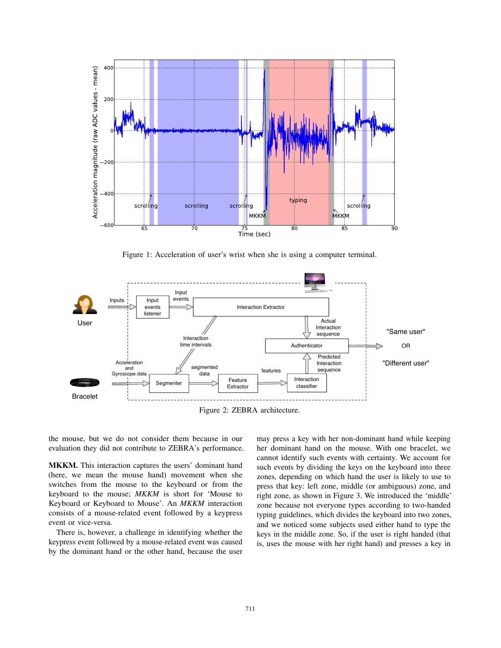

Figure 1: Acceleration of user's wrist when she is using a computer terminal.



the mouse, but we do not consider them because in our evaluation they did not contribute to ZEBRA's performance.

MKKM. This interaction captures the users' dominant hand (here, we mean the mouse hand) movement when she switches from the mouse to the keyboard or from the keyboard to the mouse; *MKKM* is short for 'Mouse to Keyboard or Keyboard to Mouse'. An *MKKM* interaction consists of a mouse-related event followed by a keypress event or vice-versa.

There is, however, a challenge in identifying whether the keypress event followed by a mouse-related event was caused by the dominant hand or the other hand, because the user may press a key with her non-dominant hand while keeping her dominant hand on the mouse. With one bracelet, we cannot identify such events with certainty. We account for such events by dividing the keys on the keyboard into three zones, depending on which hand the user is likely to use to press that key: left zone, middle (or ambiguous) zone, and right zone, as shown in Figure 3. We introduced the 'middle' zone because not everyone types according to two-handed typing guidelines, which divides the keyboard into two zones, and we noticed some subjects used either hand to type the keys in the middle zone. So, if the user is right handed (that is, uses the mouse with her right hand) and presses a key in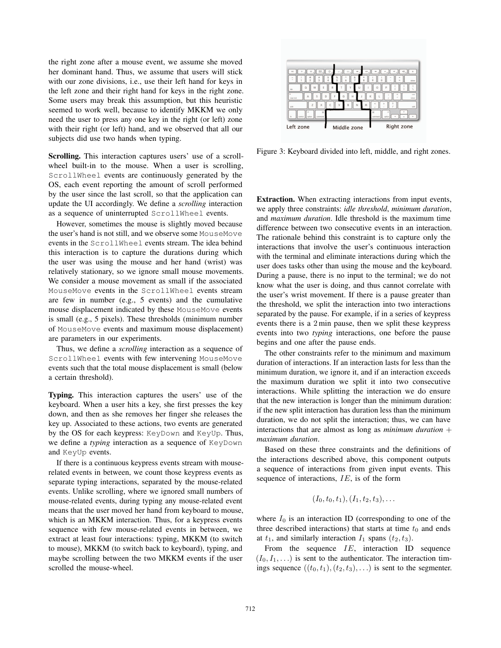the right zone after a mouse event, we assume she moved her dominant hand. Thus, we assume that users will stick with our zone divisions, i.e., use their left hand for keys in the left zone and their right hand for keys in the right zone. Some users may break this assumption, but this heuristic seemed to work well, because to identify MKKM we only need the user to press any one key in the right (or left) zone with their right (or left) hand, and we observed that all our subjects did use two hands when typing.

Scrolling. This interaction captures users' use of a scrollwheel built-in to the mouse. When a user is scrolling, ScrollWheel events are continuously generated by the OS, each event reporting the amount of scroll performed by the user since the last scroll, so that the application can update the UI accordingly. We define a *scrolling* interaction as a sequence of uninterrupted ScrollWheel events.

However, sometimes the mouse is slightly moved because the user's hand is not still, and we observe some MouseMove events in the ScrollWheel events stream. The idea behind this interaction is to capture the durations during which the user was using the mouse and her hand (wrist) was relatively stationary, so we ignore small mouse movements. We consider a mouse movement as small if the associated MouseMove events in the ScrollWheel events stream are few in number (e.g., 5 events) and the cumulative mouse displacement indicated by these MouseMove events is small (e.g., 5 pixels). These thresholds (minimum number of MouseMove events and maximum mouse displacement) are parameters in our experiments.

Thus, we define a *scrolling* interaction as a sequence of ScrollWheel events with few intervening MouseMove events such that the total mouse displacement is small (below a certain threshold).

Typing. This interaction captures the users' use of the keyboard. When a user hits a key, she first presses the key down, and then as she removes her finger she releases the key up. Associated to these actions, two events are generated by the OS for each keypress: KeyDown and KeyUp. Thus, we define a *typing* interaction as a sequence of KeyDown and KeyUp events.

If there is a continuous keypress events stream with mouserelated events in between, we count those keypress events as separate typing interactions, separated by the mouse-related events. Unlike scrolling, where we ignored small numbers of mouse-related events, during typing any mouse-related event means that the user moved her hand from keyboard to mouse, which is an MKKM interaction. Thus, for a keypress events sequence with few mouse-related events in between, we extract at least four interactions: typing, MKKM (to switch to mouse), MKKM (to switch back to keyboard), typing, and maybe scrolling between the two MKKM events if the user scrolled the mouse-wheel.



Figure 3: Keyboard divided into left, middle, and right zones.

Extraction. When extracting interactions from input events, we apply three constraints: *idle threshold*, *minimum duration*, and *maximum duration*. Idle threshold is the maximum time difference between two consecutive events in an interaction. The rationale behind this constraint is to capture only the interactions that involve the user's continuous interaction with the terminal and eliminate interactions during which the user does tasks other than using the mouse and the keyboard. During a pause, there is no input to the terminal; we do not know what the user is doing, and thus cannot correlate with the user's wrist movement. If there is a pause greater than the threshold, we split the interaction into two interactions separated by the pause. For example, if in a series of keypress events there is a 2 min pause, then we split these keypress events into two *typing* interactions, one before the pause begins and one after the pause ends.

The other constraints refer to the minimum and maximum duration of interactions. If an interaction lasts for less than the minimum duration, we ignore it, and if an interaction exceeds the maximum duration we split it into two consecutive interactions. While splitting the interaction we do ensure that the new interaction is longer than the minimum duration: if the new split interaction has duration less than the minimum duration, we do not split the interaction; thus, we can have interactions that are almost as long as *minimum duration* + *maximum duration*.

Based on these three constraints and the definitions of the interactions described above, this component outputs a sequence of interactions from given input events. This sequence of interactions,  $IE$ , is of the form

$$
(I_0, t_0, t_1), (I_1, t_2, t_3), \ldots
$$

where  $I_0$  is an interaction ID (corresponding to one of the three described interactions) that starts at time  $t_0$  and ends at  $t_1$ , and similarly interaction  $I_1$  spans  $(t_2, t_3)$ .

From the sequence  $IE$ , interaction ID sequence  $(I_0, I_1,...)$  is sent to the authenticator. The interaction timings sequence  $((t_0, t_1), (t_2, t_3), \ldots)$  is sent to the segmenter.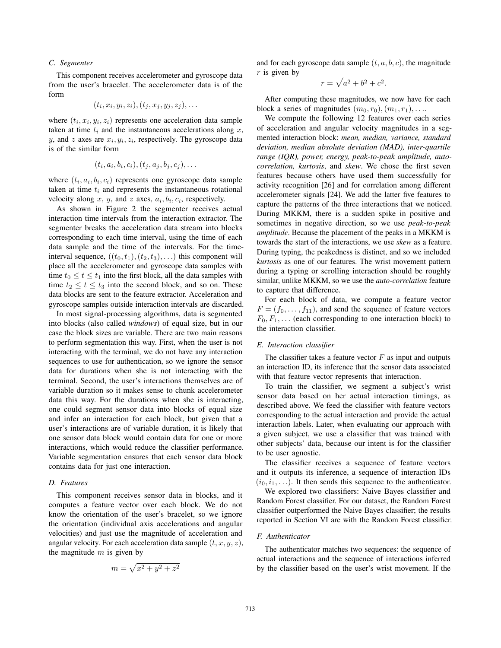# *C. Segmenter*

This component receives accelerometer and gyroscope data from the user's bracelet. The accelerometer data is of the form

$$
(t_i,x_i,y_i,z_i),(t_j,x_j,y_j,z_j),\ldots
$$

where  $(t_i, x_i, y_i, z_i)$  represents one acceleration data sample taken at time  $t_i$  and the instantaneous accelerations along  $x$ , y, and z axes are  $x_i, y_i, z_i$ , respectively. The gyroscope data is of the similar form

$$
(t_i,a_i,b_i,c_i),(t_j,a_j,b_j,c_j),\ldots
$$

where  $(t_i, a_i, b_i, c_i)$  represents one gyroscope data sample taken at time  $t_i$  and represents the instantaneous rotational velocity along x, y, and z axes,  $a_i, b_i, c_i$ , respectively.

As shown in Figure 2 the segmenter receives actual interaction time intervals from the interaction extractor. The segmenter breaks the acceleration data stream into blocks corresponding to each time interval, using the time of each data sample and the time of the intervals. For the timeinterval sequence,  $((t_0, t_1), (t_2, t_3), \ldots)$  this component will place all the accelerometer and gyroscope data samples with time  $t_0 \le t \le t_1$  into the first block, all the data samples with time  $t_2 \le t \le t_3$  into the second block, and so on. These data blocks are sent to the feature extractor. Acceleration and gyroscope samples outside interaction intervals are discarded.

In most signal-processing algorithms, data is segmented into blocks (also called *windows*) of equal size, but in our case the block sizes are variable. There are two main reasons to perform segmentation this way. First, when the user is not interacting with the terminal, we do not have any interaction sequences to use for authentication, so we ignore the sensor data for durations when she is not interacting with the terminal. Second, the user's interactions themselves are of variable duration so it makes sense to chunk accelerometer data this way. For the durations when she is interacting, one could segment sensor data into blocks of equal size and infer an interaction for each block, but given that a user's interactions are of variable duration, it is likely that one sensor data block would contain data for one or more interactions, which would reduce the classifier performance. Variable segmentation ensures that each sensor data block contains data for just one interaction.

### *D. Features*

This component receives sensor data in blocks, and it computes a feature vector over each block. We do not know the orientation of the user's bracelet, so we ignore the orientation (individual axis accelerations and angular velocities) and just use the magnitude of acceleration and angular velocity. For each acceleration data sample  $(t, x, y, z)$ , the magnitude  $m$  is given by

$$
m = \sqrt{x^2 + y^2 + z^2}
$$

and for each gyroscope data sample  $(t, a, b, c)$ , the magnitude  $r$  is given by

$$
r = \sqrt{a^2 + b^2 + c^2}.
$$

After computing these magnitudes, we now have for each block a series of magnitudes  $(m_0, r_0), (m_1, r_1), \ldots$ 

We compute the following 12 features over each series of acceleration and angular velocity magnitudes in a segmented interaction block: *mean, median, variance, standard deviation, median absolute deviation (MAD), inter-quartile range (IQR), power, energy, peak-to-peak amplitude, autocorrelation, kurtosis*, and *skew*. We chose the first seven features because others have used them successfully for activity recognition [26] and for correlation among different accelerometer signals [24]. We add the latter five features to capture the patterns of the three interactions that we noticed. During MKKM, there is a sudden spike in positive and sometimes in negative direction, so we use *peak-to-peak amplitude*. Because the placement of the peaks in a MKKM is towards the start of the interactions, we use *skew* as a feature. During typing, the peakedness is distinct, and so we included *kurtosis* as one of our features. The wrist movement pattern during a typing or scrolling interaction should be roughly similar, unlike MKKM, so we use the *auto-correlation* feature to capture that difference.

For each block of data, we compute a feature vector  $F = (f_0, \ldots, f_{11})$ , and send the sequence of feature vectors  $F_0, F_1, \ldots$  (each corresponding to one interaction block) to the interaction classifier.

### *E. Interaction classifier*

The classifier takes a feature vector  $F$  as input and outputs an interaction ID, its inference that the sensor data associated with that feature vector represents that interaction.

To train the classifier, we segment a subject's wrist sensor data based on her actual interaction timings, as described above. We feed the classifier with feature vectors corresponding to the actual interaction and provide the actual interaction labels. Later, when evaluating our approach with a given subject, we use a classifier that was trained with other subjects' data, because our intent is for the classifier to be user agnostic.

The classifier receives a sequence of feature vectors and it outputs its inference, a sequence of interaction IDs  $(i_0, i_1, \ldots)$ . It then sends this sequence to the authenticator.

We explored two classifiers: Naive Bayes classifier and Random Forest classifier. For our dataset, the Random Forest classifier outperformed the Naive Bayes classifier; the results reported in Section VI are with the Random Forest classifier.

#### *F. Authenticator*

The authenticator matches two sequences: the sequence of actual interactions and the sequence of interactions inferred by the classifier based on the user's wrist movement. If the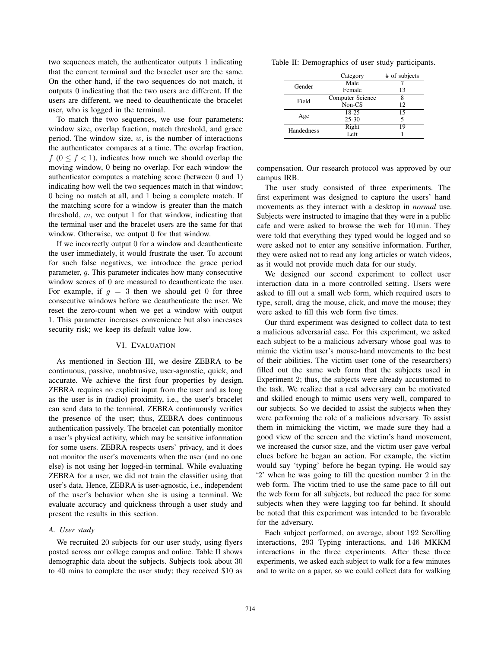two sequences match, the authenticator outputs 1 indicating that the current terminal and the bracelet user are the same. On the other hand, if the two sequences do not match, it outputs 0 indicating that the two users are different. If the users are different, we need to deauthenticate the bracelet user, who is logged in the terminal.

To match the two sequences, we use four parameters: window size, overlap fraction, match threshold, and grace period. The window size,  $w$ , is the number of interactions the authenticator compares at a time. The overlap fraction,  $f (0 \le f < 1)$ , indicates how much we should overlap the moving window, 0 being no overlap. For each window the authenticator computes a matching score (between 0 and 1) indicating how well the two sequences match in that window; 0 being no match at all, and 1 being a complete match. If the matching score for a window is greater than the match threshold,  $m$ , we output 1 for that window, indicating that the terminal user and the bracelet users are the same for that window. Otherwise, we output 0 for that window.

If we incorrectly output 0 for a window and deauthenticate the user immediately, it would frustrate the user. To account for such false negatives, we introduce the grace period parameter, g. This parameter indicates how many consecutive window scores of 0 are measured to deauthenticate the user. For example, if  $g = 3$  then we should get 0 for three consecutive windows before we deauthenticate the user. We reset the zero-count when we get a window with output 1. This parameter increases convenience but also increases security risk; we keep its default value low.

### VI. EVALUATION

As mentioned in Section III, we desire ZEBRA to be continuous, passive, unobtrusive, user-agnostic, quick, and accurate. We achieve the first four properties by design. ZEBRA requires no explicit input from the user and as long as the user is in (radio) proximity, i.e., the user's bracelet can send data to the terminal, ZEBRA continuously verifies the presence of the user; thus, ZEBRA does continuous authentication passively. The bracelet can potentially monitor a user's physical activity, which may be sensitive information for some users. ZEBRA respects users' privacy, and it does not monitor the user's movements when the user (and no one else) is not using her logged-in terminal. While evaluating ZEBRA for a user, we did not train the classifier using that user's data. Hence, ZEBRA is user-agnostic, i.e., independent of the user's behavior when she is using a terminal. We evaluate accuracy and quickness through a user study and present the results in this section.

# *A. User study*

We recruited 20 subjects for our user study, using flyers posted across our college campus and online. Table II shows demographic data about the subjects. Subjects took about 30 to 40 mins to complete the user study; they received \$10 as Table II: Demographics of user study participants.

|            | Category         | # of subjects |
|------------|------------------|---------------|
| Gender     | Male             |               |
|            | Female           | 13            |
| Field      | Computer Science | 8             |
|            | Non-CS           | 12            |
| Age        | 18-25            | 15            |
|            | $25 - 30$        | 5             |
| Handedness | Right            | 19            |
|            | Left             |               |

compensation. Our research protocol was approved by our campus IRB.

The user study consisted of three experiments. The first experiment was designed to capture the users' hand movements as they interact with a desktop in *normal* use. Subjects were instructed to imagine that they were in a public cafe and were asked to browse the web for 10 min. They were told that everything they typed would be logged and so were asked not to enter any sensitive information. Further, they were asked not to read any long articles or watch videos, as it would not provide much data for our study.

We designed our second experiment to collect user interaction data in a more controlled setting. Users were asked to fill out a small web form, which required users to type, scroll, drag the mouse, click, and move the mouse; they were asked to fill this web form five times.

Our third experiment was designed to collect data to test a malicious adversarial case. For this experiment, we asked each subject to be a malicious adversary whose goal was to mimic the victim user's mouse-hand movements to the best of their abilities. The victim user (one of the researchers) filled out the same web form that the subjects used in Experiment 2; thus, the subjects were already accustomed to the task. We realize that a real adversary can be motivated and skilled enough to mimic users very well, compared to our subjects. So we decided to assist the subjects when they were performing the role of a malicious adversary. To assist them in mimicking the victim, we made sure they had a good view of the screen and the victim's hand movement, we increased the cursor size, and the victim user gave verbal clues before he began an action. For example, the victim would say 'typing' before he began typing. He would say '2' when he was going to fill the question number 2 in the web form. The victim tried to use the same pace to fill out the web form for all subjects, but reduced the pace for some subjects when they were lagging too far behind. It should be noted that this experiment was intended to be favorable for the adversary.

Each subject performed, on average, about 192 Scrolling interactions, 293 Typing interactions, and 146 MKKM interactions in the three experiments. After these three experiments, we asked each subject to walk for a few minutes and to write on a paper, so we could collect data for walking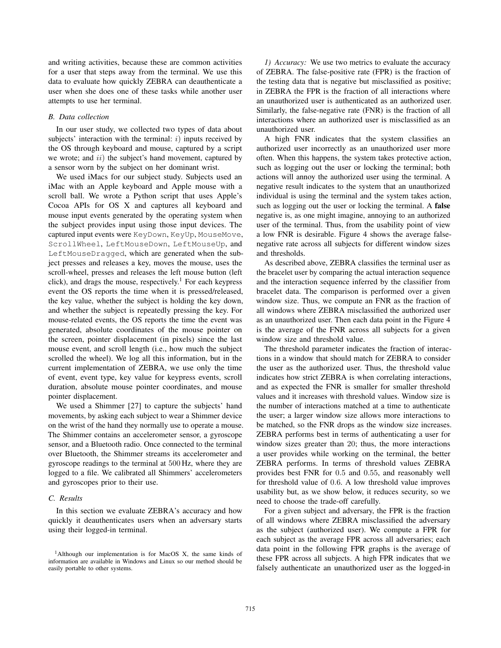and writing activities, because these are common activities for a user that steps away from the terminal. We use this data to evaluate how quickly ZEBRA can deauthenticate a user when she does one of these tasks while another user attempts to use her terminal.

# *B. Data collection*

In our user study, we collected two types of data about subjects' interaction with the terminal:  $i$ ) inputs received by the OS through keyboard and mouse, captured by a script we wrote; and  $ii)$  the subject's hand movement, captured by a sensor worn by the subject on her dominant wrist.

We used iMacs for our subject study. Subjects used an iMac with an Apple keyboard and Apple mouse with a scroll ball. We wrote a Python script that uses Apple's Cocoa APIs for OS X and captures all keyboard and mouse input events generated by the operating system when the subject provides input using those input devices. The captured input events were KeyDown, KeyUp, MouseMove, ScrollWheel, LeftMouseDown, LeftMouseUp, and LeftMouseDragged, which are generated when the subject presses and releases a key, moves the mouse, uses the scroll-wheel, presses and releases the left mouse button (left click), and drags the mouse, respectively.<sup>1</sup> For each keypress event the OS reports the time when it is pressed/released, the key value, whether the subject is holding the key down, and whether the subject is repeatedly pressing the key. For mouse-related events, the OS reports the time the event was generated, absolute coordinates of the mouse pointer on the screen, pointer displacement (in pixels) since the last mouse event, and scroll length (i.e., how much the subject scrolled the wheel). We log all this information, but in the current implementation of ZEBRA, we use only the time of event, event type, key value for keypress events, scroll duration, absolute mouse pointer coordinates, and mouse pointer displacement.

We used a Shimmer [27] to capture the subjects' hand movements, by asking each subject to wear a Shimmer device on the wrist of the hand they normally use to operate a mouse. The Shimmer contains an accelerometer sensor, a gyroscope sensor, and a Bluetooth radio. Once connected to the terminal over Bluetooth, the Shimmer streams its accelerometer and gyroscope readings to the terminal at 500 Hz, where they are logged to a file. We calibrated all Shimmers' accelerometers and gyroscopes prior to their use.

# *C. Results*

In this section we evaluate ZEBRA's accuracy and how quickly it deauthenticates users when an adversary starts using their logged-in terminal.

*1) Accuracy:* We use two metrics to evaluate the accuracy of ZEBRA. The false-positive rate (FPR) is the fraction of the testing data that is negative but misclassified as positive; in ZEBRA the FPR is the fraction of all interactions where an unauthorized user is authenticated as an authorized user. Similarly, the false-negative rate (FNR) is the fraction of all interactions where an authorized user is misclassified as an unauthorized user.

A high FNR indicates that the system classifies an authorized user incorrectly as an unauthorized user more often. When this happens, the system takes protective action, such as logging out the user or locking the terminal; both actions will annoy the authorized user using the terminal. A negative result indicates to the system that an unauthorized individual is using the terminal and the system takes action, such as logging out the user or locking the terminal. A **false** negative is, as one might imagine, annoying to an authorized user of the terminal. Thus, from the usability point of view a low FNR is desirable. Figure 4 shows the average falsenegative rate across all subjects for different window sizes and thresholds.

As described above, ZEBRA classifies the terminal user as the bracelet user by comparing the actual interaction sequence and the interaction sequence inferred by the classifier from bracelet data. The comparison is performed over a given window size. Thus, we compute an FNR as the fraction of all windows where ZEBRA misclassified the authorized user as an unauthorized user. Then each data point in the Figure 4 is the average of the FNR across all subjects for a given window size and threshold value.

The threshold parameter indicates the fraction of interactions in a window that should match for ZEBRA to consider the user as the authorized user. Thus, the threshold value indicates how strict ZEBRA is when correlating interactions, and as expected the FNR is smaller for smaller threshold values and it increases with threshold values. Window size is the number of interactions matched at a time to authenticate the user; a larger window size allows more interactions to be matched, so the FNR drops as the window size increases. ZEBRA performs best in terms of authenticating a user for window sizes greater than 20; thus, the more interactions a user provides while working on the terminal, the better ZEBRA performs. In terms of threshold values ZEBRA provides best FNR for <sup>0</sup>.<sup>5</sup> and <sup>0</sup>.55, and reasonably well for threshold value of <sup>0</sup>.6. A low threshold value improves usability but, as we show below, it reduces security, so we need to choose the trade-off carefully.

For a given subject and adversary, the FPR is the fraction of all windows where ZEBRA misclassified the adversary as the subject (authorized user). We compute a FPR for each subject as the average FPR across all adversaries; each data point in the following FPR graphs is the average of these FPR across all subjects. A high FPR indicates that we falsely authenticate an unauthorized user as the logged-in

<sup>1</sup>Although our implementation is for MacOS X, the same kinds of information are available in Windows and Linux so our method should be easily portable to other systems.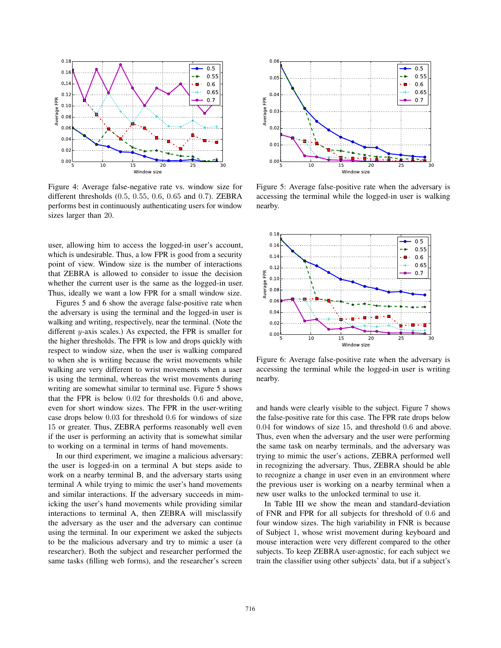

Figure 4: Average false-negative rate vs. window size for different thresholds (0.5, <sup>0</sup>.55, <sup>0</sup>.6, <sup>0</sup>.<sup>65</sup> and <sup>0</sup>.7). ZEBRA performs best in continuously authenticating users for window sizes larger than 20.

user, allowing him to access the logged-in user's account, which is undesirable. Thus, a low FPR is good from a security point of view. Window size is the number of interactions that ZEBRA is allowed to consider to issue the decision whether the current user is the same as the logged-in user. Thus, ideally we want a low FPR for a small window size.

Figures 5 and 6 show the average false-positive rate when the adversary is using the terminal and the logged-in user is walking and writing, respectively, near the terminal. (Note the different y-axis scales.) As expected, the FPR is smaller for the higher thresholds. The FPR is low and drops quickly with respect to window size, when the user is walking compared to when she is writing because the wrist movements while walking are very different to wrist movements when a user is using the terminal, whereas the wrist movements during writing are somewhat similar to terminal use. Figure 5 shows that the FPR is below <sup>0</sup>.<sup>02</sup> for thresholds <sup>0</sup>.<sup>6</sup> and above, even for short window sizes. The FPR in the user-writing case drops below <sup>0</sup>.<sup>03</sup> for threshold <sup>0</sup>.<sup>6</sup> for windows of size 15 or greater. Thus, ZEBRA performs reasonably well even if the user is performing an activity that is somewhat similar to working on a terminal in terms of hand movements.

In our third experiment, we imagine a malicious adversary: the user is logged-in on a terminal A but steps aside to work on a nearby terminal B, and the adversary starts using terminal A while trying to mimic the user's hand movements and similar interactions. If the adversary succeeds in mimicking the user's hand movements while providing similar interactions to terminal A, then ZEBRA will misclassify the adversary as the user and the adversary can continue using the terminal. In our experiment we asked the subjects to be the malicious adversary and try to mimic a user (a researcher). Both the subject and researcher performed the same tasks (filling web forms), and the researcher's screen



Figure 5: Average false-positive rate when the adversary is accessing the terminal while the logged-in user is walking nearby.



Figure 6: Average false-positive rate when the adversary is accessing the terminal while the logged-in user is writing nearby.

and hands were clearly visible to the subject. Figure 7 shows the false-positive rate for this case. The FPR rate drops below <sup>0</sup>.<sup>04</sup> for windows of size <sup>15</sup>, and threshold <sup>0</sup>.<sup>6</sup> and above. Thus, even when the adversary and the user were performing the same task on nearby terminals, and the adversary was trying to mimic the user's actions, ZEBRA performed well in recognizing the adversary. Thus, ZEBRA should be able to recognize a change in user even in an environment where the previous user is working on a nearby terminal when a new user walks to the unlocked terminal to use it.

In Table III we show the mean and standard-deviation of FNR and FPR for all subjects for threshold of <sup>0</sup>.<sup>6</sup> and four window sizes. The high variability in FNR is because of Subject 1, whose wrist movement during keyboard and mouse interaction were very different compared to the other subjects. To keep ZEBRA user-agnostic, for each subject we train the classifier using other subjects' data, but if a subject's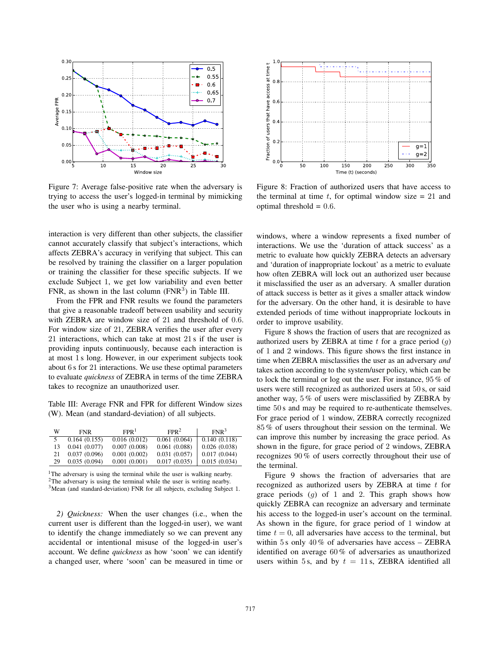

Figure 7: Average false-positive rate when the adversary is trying to access the user's logged-in terminal by mimicking the user who is using a nearby terminal.

interaction is very different than other subjects, the classifier cannot accurately classify that subject's interactions, which affects ZEBRA's accuracy in verifying that subject. This can be resolved by training the classifier on a larger population or training the classifier for these specific subjects. If we exclude Subject 1, we get low variability and even better FNR, as shown in the last column  $(FNR<sup>3</sup>)$  in Table III.

From the FPR and FNR results we found the parameters that give a reasonable tradeoff between usability and security with ZEBRA are window size of <sup>21</sup> and threshold of <sup>0</sup>.6. For window size of 21, ZEBRA verifies the user after every 21 interactions, which can take at most 21 s if the user is providing inputs continuously, because each interaction is at most 1 s long. However, in our experiment subjects took about 6 s for 21 interactions. We use these optimal parameters to evaluate *quickness* of ZEBRA in terms of the time ZEBRA takes to recognize an unauthorized user.

Table III: Average FNR and FPR for different Window sizes (W). Mean (and standard-deviation) of all subjects.

| w  | <b>FNR</b>   | FPR <sup>1</sup> | FPR <sup>2</sup> | FNR <sup>3</sup> |
|----|--------------|------------------|------------------|------------------|
| 5  | 0.164(0.155) | 0.016(0.012)     | 0.061(0.064)     | 0.140(0.118)     |
| 13 | 0.041(0.077) | 0.007(0.008)     | 0.061(0.088)     | 0.026(0.038)     |
| 21 | 0.037(0.096) | 0.001(0.002)     | 0.031(0.057)     | 0.017(0.044)     |
| 29 | 0.035(0.094) | 0.001(0.001)     | 0.017(0.035)     | 0.015(0.034)     |

<sup>1</sup>The adversary is using the terminal while the user is walking nearby. <sup>2</sup>The adversary is using the terminal while the user is writing nearby. <sup>3</sup>Mean (and standard-deviation) FNR for all subjects, excluding Subject 1.

*2) Quickness:* When the user changes (i.e., when the current user is different than the logged-in user), we want to identify the change immediately so we can prevent any accidental or intentional misuse of the logged-in user's account. We define *quickness* as how 'soon' we can identify a changed user, where 'soon' can be measured in time or



Figure 8: Fraction of authorized users that have access to the terminal at time t, for optimal window size  $= 21$  and optimal threshold  $= 0.6$ .

windows, where a window represents a fixed number of interactions. We use the 'duration of attack success' as a metric to evaluate how quickly ZEBRA detects an adversary and 'duration of inappropriate lockout' as a metric to evaluate how often ZEBRA will lock out an authorized user because it misclassified the user as an adversary. A smaller duration of attack success is better as it gives a smaller attack window for the adversary. On the other hand, it is desirable to have extended periods of time without inappropriate lockouts in order to improve usability.

Figure 8 shows the fraction of users that are recognized as authorized users by ZEBRA at time  $t$  for a grace period  $(q)$ of 1 and 2 windows. This figure shows the first instance in time when ZEBRA misclassifies the user as an adversary *and* takes action according to the system/user policy, which can be to lock the terminal or log out the user. For instance, 95 % of users were still recognized as authorized users at 50 s, or said another way, 5 % of users were misclassified by ZEBRA by time 50 s and may be required to re-authenticate themselves. For grace period of 1 window, ZEBRA correctly recognized 85 % of users throughout their session on the terminal. We can improve this number by increasing the grace period. As shown in the figure, for grace period of 2 windows, ZEBRA recognizes 90 % of users correctly throughout their use of the terminal.

Figure 9 shows the fraction of adversaries that are recognized as authorized users by ZEBRA at time  $t$  for grace periods  $(g)$  of 1 and 2. This graph shows how quickly ZEBRA can recognize an adversary and terminate his access to the logged-in user's account on the terminal. As shown in the figure, for grace period of 1 window at time  $t = 0$ , all adversaries have access to the terminal, but within  $5s$  only  $40\%$  of adversaries have access – ZEBRA identified on average 60 % of adversaries as unauthorized users within 5 s, and by  $t = 11$  s, ZEBRA identified all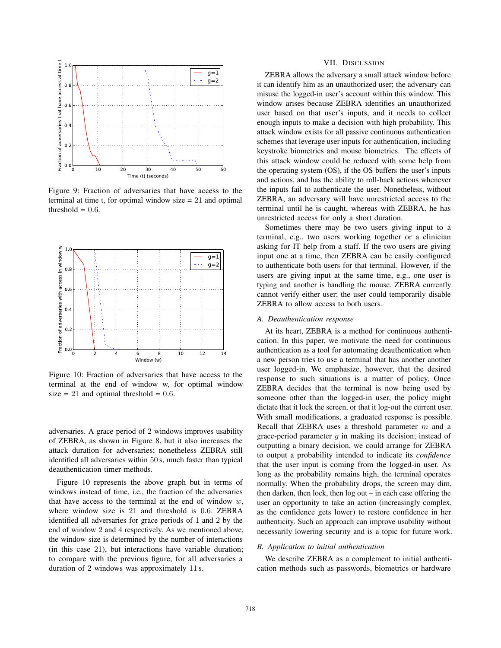

Figure 9: Fraction of adversaries that have access to the terminal at time t, for optimal window size = 21 and optimal threshold  $= 0.6$ .



Figure 10: Fraction of adversaries that have access to the terminal at the end of window w, for optimal window size = 21 and optimal threshold =  $0.6$ .

adversaries. A grace period of 2 windows improves usability of ZEBRA, as shown in Figure 8, but it also increases the attack duration for adversaries; nonetheless ZEBRA still identified all adversaries within 50 s, much faster than typical deauthentication timer methods.

Figure 10 represents the above graph but in terms of windows instead of time, i.e., the fraction of the adversaries that have access to the terminal at the end of window  $w$ . where window size is <sup>21</sup> and threshold is <sup>0</sup>.6. ZEBRA identified all adversaries for grace periods of 1 and 2 by the end of window 2 and 4 respectively. As we mentioned above, the window size is determined by the number of interactions (in this case 21), but interactions have variable duration; to compare with the previous figure, for all adversaries a duration of 2 windows was approximately 11 s.

# VII. DISCUSSION

ZEBRA allows the adversary a small attack window before it can identify him as an unauthorized user; the adversary can misuse the logged-in user's account within this window. This window arises because ZEBRA identifies an unauthorized user based on that user's inputs, and it needs to collect enough inputs to make a decision with high probability. This attack window exists for all passive continuous authentication schemes that leverage user inputs for authentication, including keystroke biometrics and mouse biometrics. The effects of this attack window could be reduced with some help from the operating system (OS), if the OS buffers the user's inputs and actions, and has the ability to roll-back actions whenever the inputs fail to authenticate the user. Nonetheless, without ZEBRA, an adversary will have unrestricted access to the terminal until he is caught, whereas with ZEBRA, he has unrestricted access for only a short duration.

Sometimes there may be two users giving input to a terminal, e.g., two users working together or a clinician asking for IT help from a staff. If the two users are giving input one at a time, then ZEBRA can be easily configured to authenticate both users for that terminal. However, if the users are giving input at the same time, e.g., one user is typing and another is handling the mouse, ZEBRA currently cannot verify either user; the user could temporarily disable ZEBRA to allow access to both users.

#### *A. Deauthentication response*

At its heart, ZEBRA is a method for continuous authentication. In this paper, we motivate the need for continuous authentication as a tool for automating deauthentication when a new person tries to use a terminal that has another another user logged-in. We emphasize, however, that the desired response to such situations is a matter of policy. Once ZEBRA decides that the terminal is now being used by someone other than the logged-in user, the policy might dictate that it lock the screen, or that it log-out the current user. With small modifications, a graduated response is possible. Recall that ZEBRA uses a threshold parameter  $m$  and a grace-period parameter  $q$  in making its decision; instead of outputting a binary decision, we could arrange for ZEBRA to output a probability intended to indicate its *confidence* that the user input is coming from the logged-in user. As long as the probability remains high, the terminal operates normally. When the probability drops, the screen may dim, then darken, then lock, then log out – in each case offering the user an opportunity to take an action (increasingly complex, as the confidence gets lower) to restore confidence in her authenticity. Such an approach can improve usability without necessarily lowering security and is a topic for future work.

# *B. Application to initial authentication*

We describe ZEBRA as a complement to initial authentication methods such as passwords, biometrics or hardware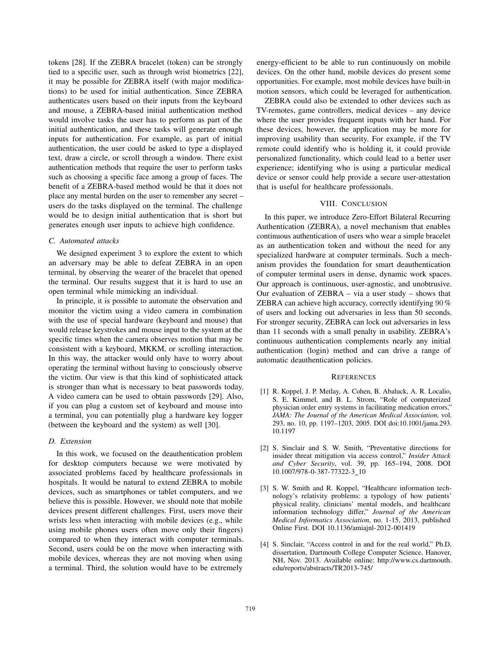tokens [28]. If the ZEBRA bracelet (token) can be strongly tied to a specific user, such as through wrist biometrics [22], it may be possible for ZEBRA itself (with major modifications) to be used for initial authentication. Since ZEBRA authenticates users based on their inputs from the keyboard and mouse, a ZEBRA-based initial authentication method would involve tasks the user has to perform as part of the initial authentication, and these tasks will generate enough inputs for authentication. For example, as part of initial authentication, the user could be asked to type a displayed text, draw a circle, or scroll through a window. There exist authentication methods that require the user to perform tasks such as choosing a specific face among a group of faces. The benefit of a ZEBRA-based method would be that it does not place any mental burden on the user to remember any secret – users do the tasks displayed on the terminal. The challenge would be to design initial authentication that is short but generates enough user inputs to achieve high confidence.

### *C. Automated attacks*

We designed experiment 3 to explore the extent to which an adversary may be able to defeat ZEBRA in an open terminal, by observing the wearer of the bracelet that opened the terminal. Our results suggest that it is hard to use an open terminal while mimicking an individual.

In principle, it is possible to automate the observation and monitor the victim using a video camera in combination with the use of special hardware (keyboard and mouse) that would release keystrokes and mouse input to the system at the specific times when the camera observes motion that may be consistent with a keyboard, MKKM, or scrolling interaction. In this way, the attacker would only have to worry about operating the terminal without having to consciously observe the victim. Our view is that this kind of sophisticated attack is stronger than what is necessary to beat passwords today. A video camera can be used to obtain passwords [29]. Also, if you can plug a custom set of keyboard and mouse into a terminal, you can potentially plug a hardware key logger (between the keyboard and the system) as well [30].

# *D. Extension*

In this work, we focused on the deauthentication problem for desktop computers because we were motivated by associated problems faced by healthcare professionals in hospitals. It would be natural to extend ZEBRA to mobile devices, such as smartphones or tablet computers, and we believe this is possible. However, we should note that mobile devices present different challenges. First, users move their wrists less when interacting with mobile devices (e.g., while using mobile phones users often move only their fingers) compared to when they interact with computer terminals. Second, users could be on the move when interacting with mobile devices, whereas they are not moving when using a terminal. Third, the solution would have to be extremely energy-efficient to be able to run continuously on mobile devices. On the other hand, mobile devices do present some opportunities. For example, most mobile devices have built-in motion sensors, which could be leveraged for authentication.

ZEBRA could also be extended to other devices such as TV-remotes, game controllers, medical devices – any device where the user provides frequent inputs with her hand. For these devices, however, the application may be more for improving usability than security. For example, if the TV remote could identify who is holding it, it could provide personalized functionality, which could lead to a better user experience; identifying who is using a particular medical device or sensor could help provide a secure user-attestation that is useful for healthcare professionals.

### VIII. CONCLUSION

In this paper, we introduce Zero-Effort Bilateral Recurring Authentication (ZEBRA), a novel mechanism that enables continuous authentication of users who wear a simple bracelet as an authentication token and without the need for any specialized hardware at computer terminals. Such a mechanism provides the foundation for smart deauthentication of computer terminal users in dense, dynamic work spaces. Our approach is continuous, user-agnostic, and unobtrusive. Our evaluation of ZEBRA – via a user study – shows that ZEBRA can achieve high accuracy, correctly identifying 90 % of users and locking out adversaries in less than 50 seconds. For stronger security, ZEBRA can lock out adversaries in less than 11 seconds with a small penalty in usability. ZEBRA's continuous authentication complements nearly any initial authentication (login) method and can drive a range of automatic deauthentication policies.

#### **REFERENCES**

- [1] R. Koppel, J. P. Metlay, A. Cohen, B. Abaluck, A. R. Localio, S. E. Kimmel, and B. L. Strom, "Role of computerized physician order entry systems in facilitating medication errors," *JAMA: The Journal of the American Medical Association*, vol. 293, no. 10, pp. 1197–1203, 2005. DOI doi:10.1001/jama.293. 10.1197
- [2] S. Sinclair and S. W. Smith, "Preventative directions for insider threat mitigation via access control," *Insider Attack and Cyber Security*, vol. 39, pp. 165–194, 2008. DOI 10.1007/978-0-387-77322-3 10
- [3] S. W. Smith and R. Koppel, "Healthcare information technology's relativity problems: a typology of how patients' physical reality, clinicians' mental models, and healthcare information technology differ," *Journal of the American Medical Informatics Association*, no. 1-15, 2013, published Online First. DOI 10.1136/amiajnl-2012-001419
- [4] S. Sinclair, "Access control in and for the real world," Ph.D. dissertation, Dartmouth College Computer Science, Hanover, NH, Nov. 2013. Available online: http://www.cs.dartmouth. edu/reports/abstracts/TR2013-745/